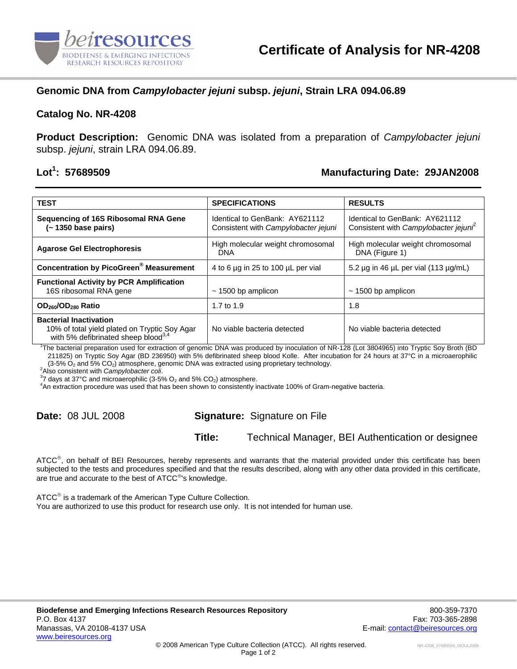

## **Genomic DNA from** *Campylobacter jejuni* **subsp.** *jejuni***, Strain LRA 094.06.89**

#### **Catalog No. NR-4208**

**Product Description:** Genomic DNA was isolated from a preparation of *Campylobacter jejuni*  subsp. *jejuni*, strain LRA 094.06.89.

### Lot<sup>1</sup>: 57689509

## **: 57689509 Manufacturing Date: 29JAN2008**

| <b>TEST</b>                                                                                                                       | <b>SPECIFICATIONS</b>                                                  | <b>RESULTS</b>                                                         |
|-----------------------------------------------------------------------------------------------------------------------------------|------------------------------------------------------------------------|------------------------------------------------------------------------|
| Sequencing of 16S Ribosomal RNA Gene<br>(~ 1350 base pairs)                                                                       | Identical to GenBank: AY621112<br>Consistent with Campylobacter jejuni | Identical to GenBank: AY621112<br>Consistent with Campylobacter jejuni |
| <b>Agarose Gel Electrophoresis</b>                                                                                                | High molecular weight chromosomal<br><b>DNA</b>                        | High molecular weight chromosomal<br>DNA (Figure 1)                    |
| <b>Concentration by PicoGreen<sup>®</sup> Measurement</b>                                                                         | 4 to 6 $\mu$ g in 25 to 100 $\mu$ L per vial                           | 5.2 $\mu$ g in 46 $\mu$ L per vial (113 $\mu$ g/mL)                    |
| <b>Functional Activity by PCR Amplification</b><br>16S ribosomal RNA gene                                                         | $\sim$ 1500 bp amplicon                                                | $\sim$ 1500 bp amplicon                                                |
| OD <sub>260</sub> /OD <sub>280</sub> Ratio                                                                                        | 1.7 to $1.9$                                                           | 1.8                                                                    |
| <b>Bacterial Inactivation</b><br>10% of total yield plated on Tryptic Soy Agar<br>with 5% defibrinated sheep blood <sup>3,4</sup> | No viable bacteria detected                                            | No viable bacteria detected                                            |

1 The bacterial preparation used for extraction of genomic DNA was produced by inoculation of NR-128 (Lot 3804965) into Tryptic Soy Broth (BD 211825) on Tryptic Soy Agar (BD 236950) with 5% defibrinated sheep blood Kolle. After incubation for 24 hours at 37°C in a microaerophilic  $(3-5\% \text{ O}_2 \text{ and } 5\% \text{ CO}_2)$  atmosphere, genomic DNA was extracted using proprietary technology.

Also consistent with *Campylobacter coli*. 3

 $37$  days at 37°C and microaerophilic (3-5% O<sub>2</sub> and 5% CO<sub>2</sub>) atmosphere.

An extraction procedure was used that has been shown to consistently inactivate 100% of Gram-negative bacteria.

# **Date:** 08 JUL 2008 **Signature:** Signature on File

**Title:** Technical Manager, BEI Authentication or designee

ATCC<sup>®</sup>, on behalf of BEI Resources, hereby represents and warrants that the material provided under this certificate has been subjected to the tests and procedures specified and that the results described, along with any other data provided in this certificate, are true and accurate to the best of ATCC<sup>®</sup>'s knowledge.

ATCC<sup>®</sup> is a trademark of the American Type Culture Collection. You are authorized to use this product for research use only. It is not intended for human use.